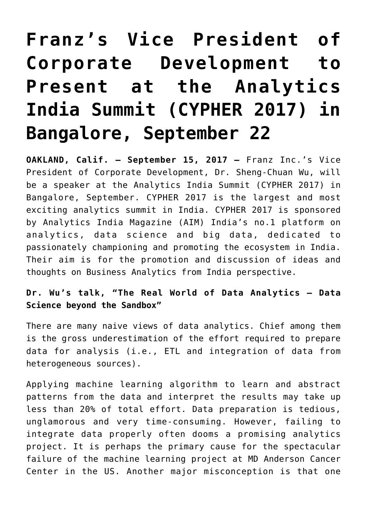## **[Franz's Vice President of](https://allegrograph.com/press_room/franzs-vice-president-of-corporate-development-to-present-at-the-analytics-india-summit-cypher-2017-in-bangalore-september-22/) [Corporate Development to](https://allegrograph.com/press_room/franzs-vice-president-of-corporate-development-to-present-at-the-analytics-india-summit-cypher-2017-in-bangalore-september-22/) [Present at the Analytics](https://allegrograph.com/press_room/franzs-vice-president-of-corporate-development-to-present-at-the-analytics-india-summit-cypher-2017-in-bangalore-september-22/) [India Summit \(CYPHER 2017\) in](https://allegrograph.com/press_room/franzs-vice-president-of-corporate-development-to-present-at-the-analytics-india-summit-cypher-2017-in-bangalore-september-22/) [Bangalore, September 22](https://allegrograph.com/press_room/franzs-vice-president-of-corporate-development-to-present-at-the-analytics-india-summit-cypher-2017-in-bangalore-september-22/)**

**OAKLAND, Calif. — September 15, 2017 —** Franz Inc.'s Vice President of Corporate Development, Dr. Sheng-Chuan Wu, will be a speaker at the Analytics India Summit [\(CYPHER 2017\)](https://franz.com/about/press_room/India-analytics_9-15-17.lhtml) in Bangalore, September. CYPHER 2017 is the largest and most exciting analytics summit in India. CYPHER 2017 is sponsored by Analytics India Magazine (AIM) India's no.1 platform on analytics, data science and big data, dedicated to passionately championing and promoting the ecosystem in India. Their aim is for the promotion and discussion of ideas and thoughts on Business Analytics from India perspective.

**Dr. Wu's talk, ["The Real World of Data Analytics – Data](http://www.analyticsindiasummit.com/cypher-2017/cypher-2017-schedule/real-world-data-analytics-data-science-beyond-sandbox/) [Science beyond the Sandbox"](http://www.analyticsindiasummit.com/cypher-2017/cypher-2017-schedule/real-world-data-analytics-data-science-beyond-sandbox/)**

There are many naive views of data analytics. Chief among them is the gross underestimation of the effort required to prepare data for analysis (i.e., ETL and integration of data from heterogeneous sources).

Applying machine learning algorithm to learn and abstract patterns from the data and interpret the results may take up less than 20% of total effort. Data preparation is tedious, unglamorous and very time-consuming. However, failing to integrate data properly often dooms a promising analytics project. It is perhaps the primary cause for the spectacular failure of the machine learning project at MD Anderson Cancer Center in the US. Another major misconception is that one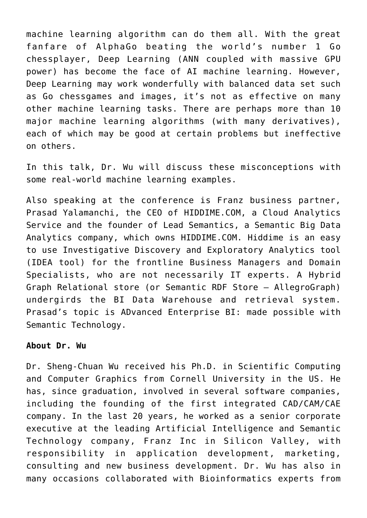machine learning algorithm can do them all. With the great fanfare of AlphaGo beating the world's number 1 Go chessplayer, Deep Learning (ANN coupled with massive GPU power) has become the face of AI machine learning. However, Deep Learning may work wonderfully with balanced data set such as Go chessgames and images, it's not as effective on many other machine learning tasks. There are perhaps more than 10 major machine learning algorithms (with many derivatives), each of which may be good at certain problems but ineffective on others.

In this talk, Dr. Wu will discuss these misconceptions with some real-world machine learning examples.

Also speaking at the conference is Franz business partner, Prasad Yalamanchi, the CEO of HIDDIME.COM, a Cloud Analytics Service and the founder of Lead Semantics, a Semantic Big Data Analytics company, which owns HIDDIME.COM. Hiddime is an easy to use Investigative Discovery and Exploratory Analytics tool (IDEA tool) for the frontline Business Managers and Domain Specialists, who are not necessarily IT experts. A Hybrid Graph Relational store (or Semantic RDF Store – AllegroGraph) undergirds the BI Data Warehouse and retrieval system. Prasad's topic is [ADvanced Enterprise BI: made possible with](https://franz.com/about/press_room/India-analytics_9-15-17.lhtml) [Semantic Technology.](https://franz.com/about/press_room/India-analytics_9-15-17.lhtml)

## **About Dr. Wu**

Dr. Sheng-Chuan Wu received his Ph.D. in Scientific Computing and Computer Graphics from Cornell University in the US. He has, since graduation, involved in several software companies, including the founding of the first integrated CAD/CAM/CAE company. In the last 20 years, he worked as a senior corporate executive at the leading Artificial Intelligence and Semantic Technology company, Franz Inc in Silicon Valley, with responsibility in application development, marketing, consulting and new business development. Dr. Wu has also in many occasions collaborated with Bioinformatics experts from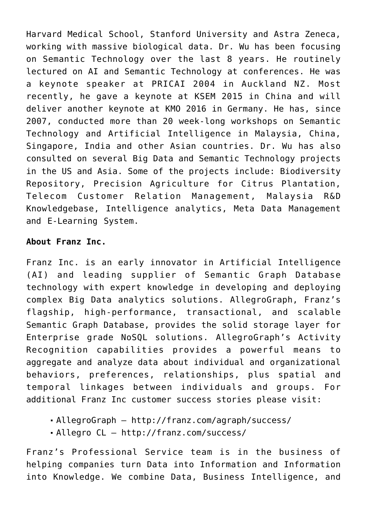Harvard Medical School, Stanford University and Astra Zeneca, working with massive biological data. Dr. Wu has been focusing on Semantic Technology over the last 8 years. He routinely lectured on AI and Semantic Technology at conferences. He was a keynote speaker at PRICAI 2004 in Auckland NZ. Most recently, he gave a keynote at KSEM 2015 in China and will deliver another keynote at KMO 2016 in Germany. He has, since 2007, conducted more than 20 week-long workshops on Semantic Technology and Artificial Intelligence in Malaysia, China, Singapore, India and other Asian countries. Dr. Wu has also consulted on several Big Data and Semantic Technology projects in the US and Asia. Some of the projects include: Biodiversity Repository, Precision Agriculture for Citrus Plantation, Telecom Customer Relation Management, Malaysia R&D Knowledgebase, Intelligence analytics, Meta Data Management and E-Learning System.

## **About Franz Inc.**

Franz Inc. is an early innovator in Artificial Intelligence (AI) and leading supplier of Semantic Graph Database technology with expert knowledge in developing and deploying complex Big Data analytics solutions. AllegroGraph, Franz's flagship, high-performance, transactional, and scalable Semantic Graph Database, provides the solid storage layer for Enterprise grade NoSQL solutions. AllegroGraph's Activity Recognition capabilities provides a powerful means to aggregate and analyze data about individual and organizational behaviors, preferences, relationships, plus spatial and temporal linkages between individuals and groups. For additional Franz Inc customer success stories please visit:

- AllegroGraph http://franz.com/agraph/success/
- Allegro CL http://franz.com/success/

Franz's Professional Service team is in the business of helping companies turn Data into Information and Information into Knowledge. We combine Data, Business Intelligence, and